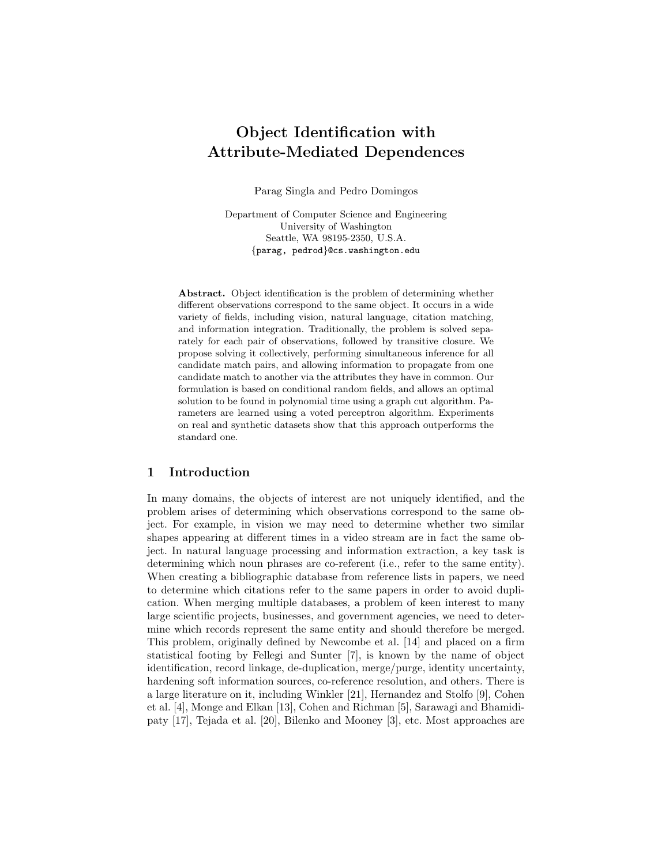# Object Identification with Attribute-Mediated Dependences

Parag Singla and Pedro Domingos

Department of Computer Science and Engineering University of Washington Seattle, WA 98195-2350, U.S.A. {parag, pedrod}@cs.washington.edu

Abstract. Object identification is the problem of determining whether different observations correspond to the same object. It occurs in a wide variety of fields, including vision, natural language, citation matching, and information integration. Traditionally, the problem is solved separately for each pair of observations, followed by transitive closure. We propose solving it collectively, performing simultaneous inference for all candidate match pairs, and allowing information to propagate from one candidate match to another via the attributes they have in common. Our formulation is based on conditional random fields, and allows an optimal solution to be found in polynomial time using a graph cut algorithm. Parameters are learned using a voted perceptron algorithm. Experiments on real and synthetic datasets show that this approach outperforms the standard one.

#### 1 Introduction

In many domains, the objects of interest are not uniquely identified, and the problem arises of determining which observations correspond to the same object. For example, in vision we may need to determine whether two similar shapes appearing at different times in a video stream are in fact the same object. In natural language processing and information extraction, a key task is determining which noun phrases are co-referent (i.e., refer to the same entity). When creating a bibliographic database from reference lists in papers, we need to determine which citations refer to the same papers in order to avoid duplication. When merging multiple databases, a problem of keen interest to many large scientific projects, businesses, and government agencies, we need to determine which records represent the same entity and should therefore be merged. This problem, originally defined by Newcombe et al. [14] and placed on a firm statistical footing by Fellegi and Sunter [7], is known by the name of object identification, record linkage, de-duplication, merge/purge, identity uncertainty, hardening soft information sources, co-reference resolution, and others. There is a large literature on it, including Winkler [21], Hernandez and Stolfo [9], Cohen et al. [4], Monge and Elkan [13], Cohen and Richman [5], Sarawagi and Bhamidipaty [17], Tejada et al. [20], Bilenko and Mooney [3], etc. Most approaches are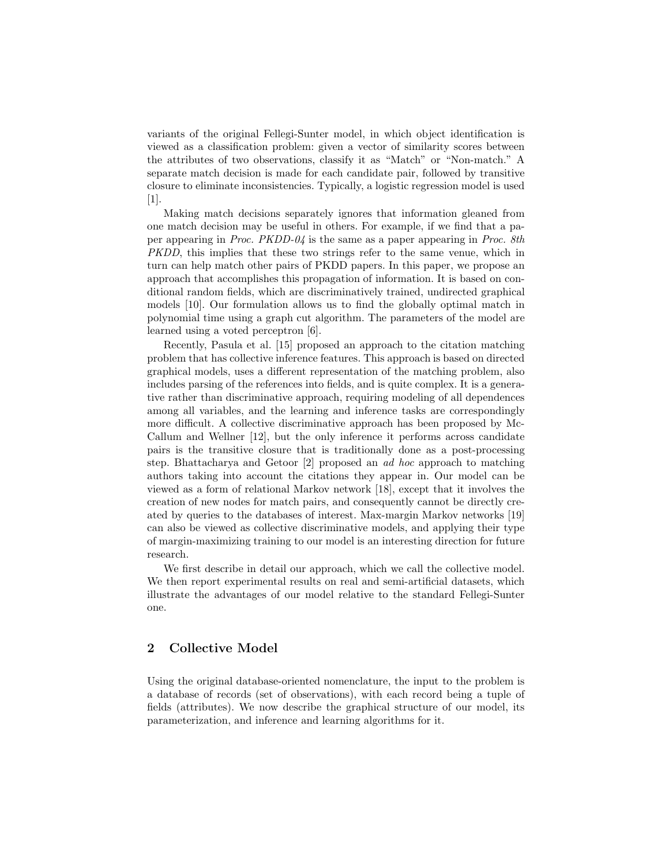variants of the original Fellegi-Sunter model, in which object identification is viewed as a classification problem: given a vector of similarity scores between the attributes of two observations, classify it as "Match" or "Non-match." A separate match decision is made for each candidate pair, followed by transitive closure to eliminate inconsistencies. Typically, a logistic regression model is used [1].

Making match decisions separately ignores that information gleaned from one match decision may be useful in others. For example, if we find that a paper appearing in Proc. PKDD-04 is the same as a paper appearing in Proc. 8th PKDD, this implies that these two strings refer to the same venue, which in turn can help match other pairs of PKDD papers. In this paper, we propose an approach that accomplishes this propagation of information. It is based on conditional random fields, which are discriminatively trained, undirected graphical models [10]. Our formulation allows us to find the globally optimal match in polynomial time using a graph cut algorithm. The parameters of the model are learned using a voted perceptron [6].

Recently, Pasula et al. [15] proposed an approach to the citation matching problem that has collective inference features. This approach is based on directed graphical models, uses a different representation of the matching problem, also includes parsing of the references into fields, and is quite complex. It is a generative rather than discriminative approach, requiring modeling of all dependences among all variables, and the learning and inference tasks are correspondingly more difficult. A collective discriminative approach has been proposed by Mc-Callum and Wellner [12], but the only inference it performs across candidate pairs is the transitive closure that is traditionally done as a post-processing step. Bhattacharya and Getoor [2] proposed an ad hoc approach to matching authors taking into account the citations they appear in. Our model can be viewed as a form of relational Markov network [18], except that it involves the creation of new nodes for match pairs, and consequently cannot be directly created by queries to the databases of interest. Max-margin Markov networks [19] can also be viewed as collective discriminative models, and applying their type of margin-maximizing training to our model is an interesting direction for future research.

We first describe in detail our approach, which we call the collective model. We then report experimental results on real and semi-artificial datasets, which illustrate the advantages of our model relative to the standard Fellegi-Sunter one.

# 2 Collective Model

Using the original database-oriented nomenclature, the input to the problem is a database of records (set of observations), with each record being a tuple of fields (attributes). We now describe the graphical structure of our model, its parameterization, and inference and learning algorithms for it.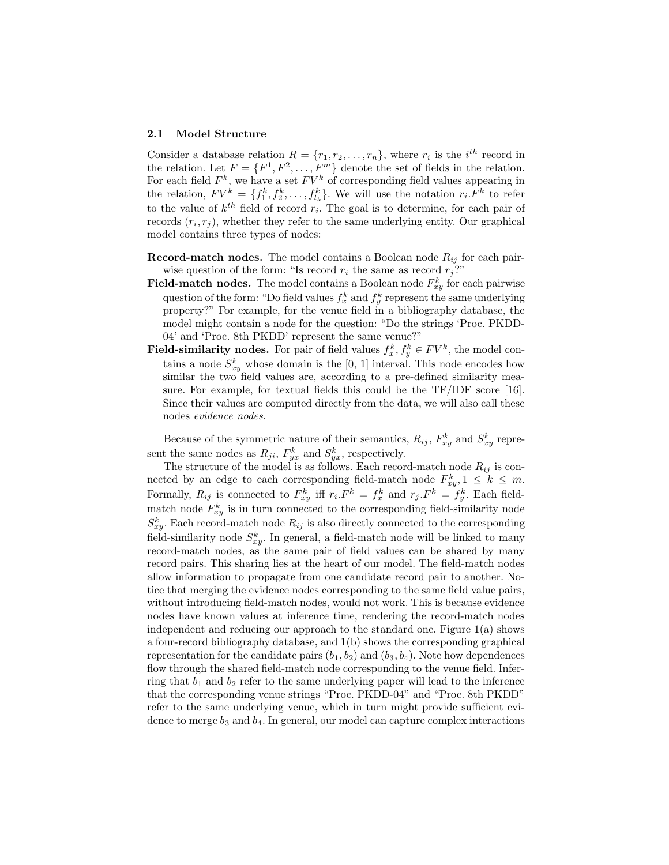#### 2.1 Model Structure

Consider a database relation  $R = \{r_1, r_2, \ldots, r_n\}$ , where  $r_i$  is the  $i^{th}$  record in the relation. Let  $F = \{F^1, F^2, \ldots, F^m\}$  denote the set of fields in the relation. For each field  $F^k$ , we have a set  $FV^k$  of corresponding field values appearing in the relation,  $FV^k = \{f_1^k, f_2^k, \ldots, f_{l_k}^k\}$ . We will use the notation  $r_i.F^k$  to refer to the value of  $k^{th}$  field of record  $r_i$ . The goal is to determine, for each pair of records  $(r_i, r_j)$ , whether they refer to the same underlying entity. Our graphical model contains three types of nodes:

- **Record-match nodes.** The model contains a Boolean node  $R_{ij}$  for each pairwise question of the form: "Is record  $r_i$  the same as record  $r_j$ ?"
- **Field-match nodes.** The model contains a Boolean node  $F_{xy}^k$  for each pairwise question of the form: "Do field values  $f_x^k$  and  $f_y^k$  represent the same underlying property?" For example, for the venue field in a bibliography database, the model might contain a node for the question: "Do the strings 'Proc. PKDD-04' and 'Proc. 8th PKDD' represent the same venue?"
- **Field-similarity nodes.** For pair of field values  $f_x^k, f_y^k \in FV^k$ , the model contains a node  $S_{xy}^k$  whose domain is the [0, 1] interval. This node encodes how similar the two field values are, according to a pre-defined similarity measure. For example, for textual fields this could be the TF/IDF score [16]. Since their values are computed directly from the data, we will also call these nodes evidence nodes.

Because of the symmetric nature of their semantics,  $R_{ij}$ ,  $F_{xy}^k$  and  $S_{xy}^k$  represent the same nodes as  $R_{ji}$ ,  $F_{yx}^k$  and  $S_{yx}^k$ , respectively.

The structure of the model is as follows. Each record-match node  $R_{ij}$  is connected by an edge to each corresponding field-match node  $F_{xy}^k, 1 \leq k \leq m$ . Formally,  $R_{ij}$  is connected to  $F_{xy}^k$  iff  $r_i.F^k = f_x^k$  and  $r_j.F^k = f_y^k$ . Each fieldmatch node  $F_{xy}^k$  is in turn connected to the corresponding field-similarity node  $S_{xy}^k$ . Each record-match node  $R_{ij}$  is also directly connected to the corresponding field-similarity node  $S_{xy}^k$ . In general, a field-match node will be linked to many record-match nodes, as the same pair of field values can be shared by many record pairs. This sharing lies at the heart of our model. The field-match nodes allow information to propagate from one candidate record pair to another. Notice that merging the evidence nodes corresponding to the same field value pairs, without introducing field-match nodes, would not work. This is because evidence nodes have known values at inference time, rendering the record-match nodes independent and reducing our approach to the standard one. Figure  $1(a)$  shows a four-record bibliography database, and 1(b) shows the corresponding graphical representation for the candidate pairs  $(b_1, b_2)$  and  $(b_3, b_4)$ . Note how dependences flow through the shared field-match node corresponding to the venue field. Inferring that  $b_1$  and  $b_2$  refer to the same underlying paper will lead to the inference that the corresponding venue strings "Proc. PKDD-04" and "Proc. 8th PKDD" refer to the same underlying venue, which in turn might provide sufficient evidence to merge  $b_3$  and  $b_4$ . In general, our model can capture complex interactions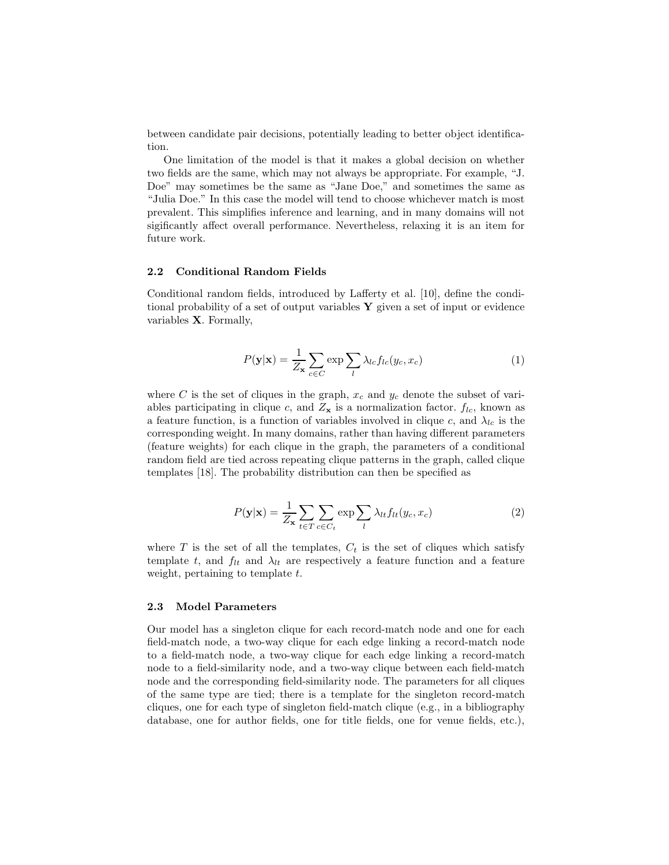between candidate pair decisions, potentially leading to better object identification.

One limitation of the model is that it makes a global decision on whether two fields are the same, which may not always be appropriate. For example, "J. Doe" may sometimes be the same as "Jane Doe," and sometimes the same as "Julia Doe." In this case the model will tend to choose whichever match is most prevalent. This simplifies inference and learning, and in many domains will not sigificantly affect overall performance. Nevertheless, relaxing it is an item for future work.

#### 2.2 Conditional Random Fields

Conditional random fields, introduced by Lafferty et al. [10], define the conditional probability of a set of output variables  $Y$  given a set of input or evidence variables X. Formally,

$$
P(\mathbf{y}|\mathbf{x}) = \frac{1}{Z_{\mathbf{x}}} \sum_{c \in C} \exp \sum_{l} \lambda_{lc} f_{lc}(y_c, x_c)
$$
 (1)

where C is the set of cliques in the graph,  $x_c$  and  $y_c$  denote the subset of variables participating in clique c, and  $Z_x$  is a normalization factor.  $f_{lc}$ , known as a feature function, is a function of variables involved in clique c, and  $\lambda_{lc}$  is the corresponding weight. In many domains, rather than having different parameters (feature weights) for each clique in the graph, the parameters of a conditional random field are tied across repeating clique patterns in the graph, called clique templates [18]. The probability distribution can then be specified as

$$
P(\mathbf{y}|\mathbf{x}) = \frac{1}{Z_{\mathbf{x}}} \sum_{t \in T} \sum_{c \in C_t} \exp \sum_l \lambda_{lt} f_{lt}(y_c, x_c)
$$
 (2)

where  $T$  is the set of all the templates,  $C_t$  is the set of cliques which satisfy template t, and  $f_{lt}$  and  $\lambda_{lt}$  are respectively a feature function and a feature weight, pertaining to template  $t$ .

# 2.3 Model Parameters

Our model has a singleton clique for each record-match node and one for each field-match node, a two-way clique for each edge linking a record-match node to a field-match node, a two-way clique for each edge linking a record-match node to a field-similarity node, and a two-way clique between each field-match node and the corresponding field-similarity node. The parameters for all cliques of the same type are tied; there is a template for the singleton record-match cliques, one for each type of singleton field-match clique (e.g., in a bibliography database, one for author fields, one for title fields, one for venue fields, etc.),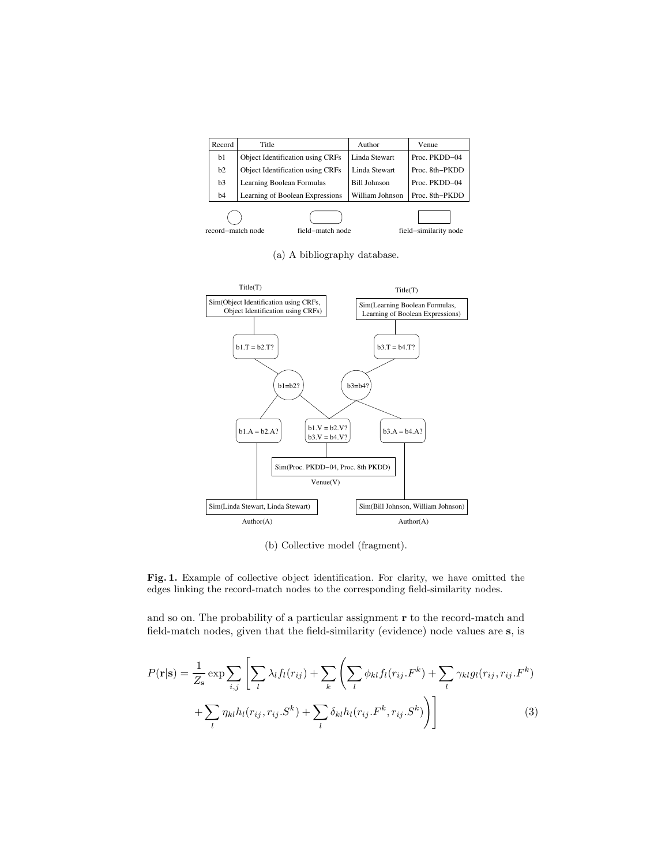| Record | Title                            | Author              | Venue          |  |
|--------|----------------------------------|---------------------|----------------|--|
| b1     | Object Identification using CRFs | Linda Stewart       | Proc. PKDD-04  |  |
| b2     | Object Identification using CRFs | Linda Stewart       | Proc. 8th-PKDD |  |
| b3     | Learning Boolean Formulas        | <b>Bill Johnson</b> | Proc. PKDD-04  |  |
| b4     | Learning of Boolean Expressions  | William Johnson     | Proc. 8th-PKDD |  |
|        |                                  |                     |                |  |

record−match node field−match node field−similarity node

(a) A bibliography database.



(b) Collective model (fragment).

Fig. 1. Example of collective object identification. For clarity, we have omitted the edges linking the record-match nodes to the corresponding field-similarity nodes.

and so on. The probability of a particular assignment  ${\bf r}$  to the record-match and field-match nodes, given that the field-similarity (evidence) node values are s, is

$$
P(\mathbf{r}|\mathbf{s}) = \frac{1}{Z_{\mathbf{s}}} \exp \sum_{i,j} \left[ \sum_{l} \lambda_{l} f_{l}(r_{ij}) + \sum_{k} \left( \sum_{l} \phi_{kl} f_{l}(r_{ij}.F^{k}) + \sum_{l} \gamma_{kl} g_{l}(r_{ij},r_{ij}.F^{k}) + \sum_{l} \eta_{kl} h_{l}(r_{ij},r_{ij}.S^{k}) + \sum_{l} \delta_{kl} h_{l}(r_{ij}.F^{k},r_{ij}.S^{k}) \right) \right]
$$
(3)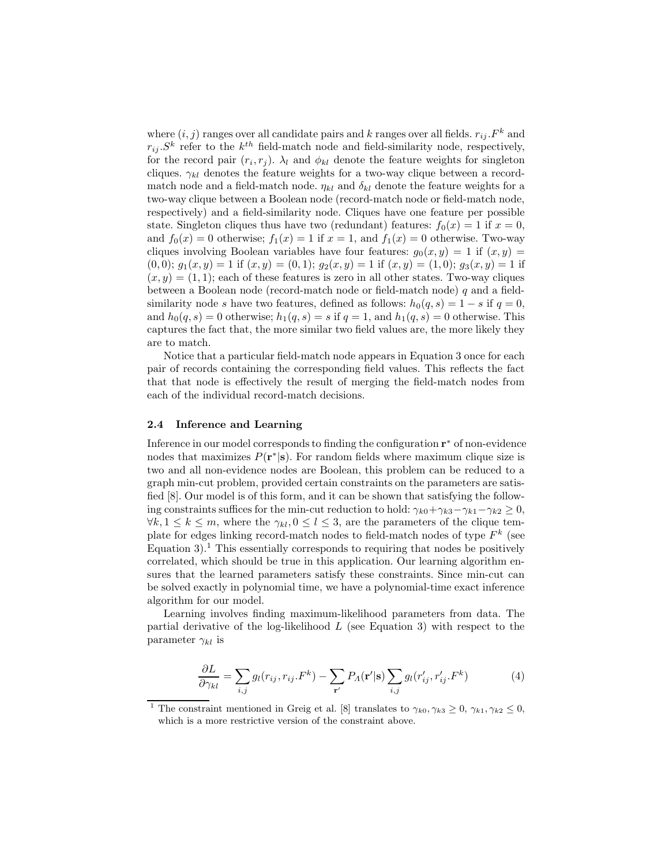where  $(i, j)$  ranges over all candidate pairs and k ranges over all fields.  $r_{ij}$ .  $F<sup>k</sup>$  and  $r_{ij}$ ,  $S^k$  refer to the  $k^{th}$  field-match node and field-similarity node, respectively, for the record pair  $(r_i, r_j)$ .  $\lambda_l$  and  $\phi_{kl}$  denote the feature weights for singleton cliques.  $\gamma_{kl}$  denotes the feature weights for a two-way clique between a recordmatch node and a field-match node.  $\eta_{kl}$  and  $\delta_{kl}$  denote the feature weights for a two-way clique between a Boolean node (record-match node or field-match node, respectively) and a field-similarity node. Cliques have one feature per possible state. Singleton cliques thus have two (redundant) features:  $f_0(x) = 1$  if  $x = 0$ , and  $f_0(x) = 0$  otherwise;  $f_1(x) = 1$  if  $x = 1$ , and  $f_1(x) = 0$  otherwise. Two-way cliques involving Boolean variables have four features:  $g_0(x, y) = 1$  if  $(x, y) =$  $(0, 0); g_1(x, y) = 1$  if  $(x, y) = (0, 1); g_2(x, y) = 1$  if  $(x, y) = (1, 0); g_3(x, y) = 1$  if  $(x, y) = (1, 1)$ ; each of these features is zero in all other states. Two-way cliques between a Boolean node (record-match node or field-match node) q and a fieldsimilarity node s have two features, defined as follows:  $h_0(q, s) = 1 - s$  if  $q = 0$ , and  $h_0(q, s) = 0$  otherwise;  $h_1(q, s) = s$  if  $q = 1$ , and  $h_1(q, s) = 0$  otherwise. This captures the fact that, the more similar two field values are, the more likely they are to match.

Notice that a particular field-match node appears in Equation 3 once for each pair of records containing the corresponding field values. This reflects the fact that that node is effectively the result of merging the field-match nodes from each of the individual record-match decisions.

#### 2.4 Inference and Learning

Inference in our model corresponds to finding the configuration  $\mathbf{r}^*$  of non-evidence nodes that maximizes  $P(\mathbf{r}^*|\mathbf{s})$ . For random fields where maximum clique size is two and all non-evidence nodes are Boolean, this problem can be reduced to a graph min-cut problem, provided certain constraints on the parameters are satisfied [8]. Our model is of this form, and it can be shown that satisfying the following constraints suffices for the min-cut reduction to hold:  $\gamma_{k0} + \gamma_{k3} - \gamma_{k1} - \gamma_{k2} \geq 0$ ,  $\forall k, 1 \leq k \leq m$ , where the  $\gamma_{kl}, 0 \leq l \leq 3$ , are the parameters of the clique template for edges linking record-match nodes to field-match nodes of type  $F^k$  (see Equation 3).<sup>1</sup> This essentially corresponds to requiring that nodes be positively correlated, which should be true in this application. Our learning algorithm ensures that the learned parameters satisfy these constraints. Since min-cut can be solved exactly in polynomial time, we have a polynomial-time exact inference algorithm for our model.

Learning involves finding maximum-likelihood parameters from data. The partial derivative of the log-likelihood  $L$  (see Equation 3) with respect to the parameter  $\gamma_{kl}$  is

$$
\frac{\partial L}{\partial \gamma_{kl}} = \sum_{i,j} g_l(r_{ij}, r_{ij}.F^k) - \sum_{\mathbf{r}'} P_A(\mathbf{r}'|\mathbf{s}) \sum_{i,j} g_l(r'_{ij}, r'_{ij}.F^k)
$$
(4)

<sup>&</sup>lt;sup>1</sup> The constraint mentioned in Greig et al. [8] translates to  $\gamma_{k0}, \gamma_{k3} \geq 0, \gamma_{k1}, \gamma_{k2} \leq 0$ , which is a more restrictive version of the constraint above.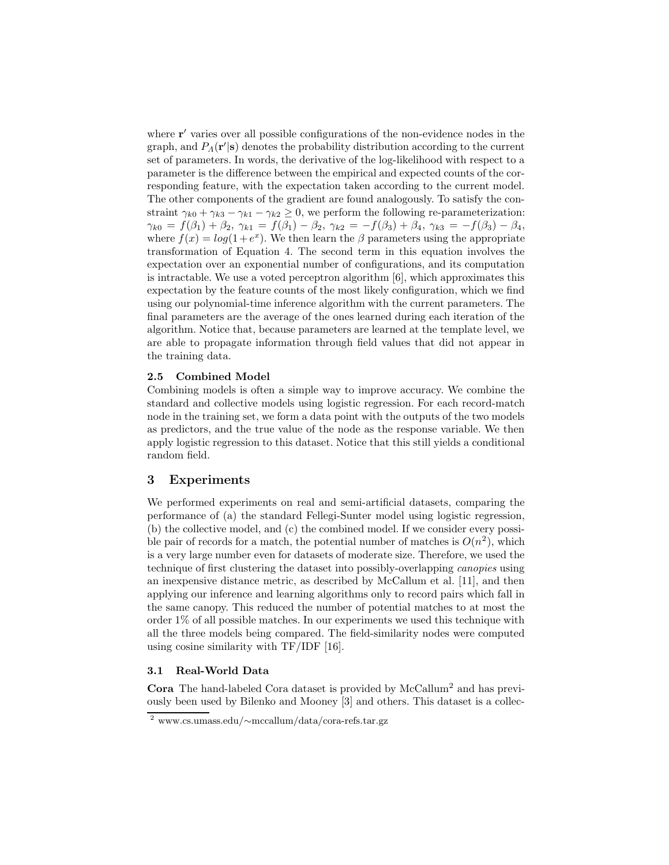where  $\mathbf{r}'$  varies over all possible configurations of the non-evidence nodes in the graph, and  $P_A(\mathbf{r'}|\mathbf{s})$  denotes the probability distribution according to the current set of parameters. In words, the derivative of the log-likelihood with respect to a parameter is the difference between the empirical and expected counts of the corresponding feature, with the expectation taken according to the current model. The other components of the gradient are found analogously. To satisfy the constraint  $\gamma_{k0} + \gamma_{k3} - \gamma_{k1} - \gamma_{k2} \geq 0$ , we perform the following re-parameterization:  $\gamma_{k0} = f(\beta_1) + \beta_2$ ,  $\gamma_{k1} = f(\beta_1) - \beta_2$ ,  $\gamma_{k2} = -f(\beta_3) + \beta_4$ ,  $\gamma_{k3} = -f(\beta_3) - \beta_4$ , where  $f(x) = log(1 + e^x)$ . We then learn the  $\beta$  parameters using the appropriate transformation of Equation 4. The second term in this equation involves the expectation over an exponential number of configurations, and its computation is intractable. We use a voted perceptron algorithm [6], which approximates this expectation by the feature counts of the most likely configuration, which we find using our polynomial-time inference algorithm with the current parameters. The final parameters are the average of the ones learned during each iteration of the algorithm. Notice that, because parameters are learned at the template level, we are able to propagate information through field values that did not appear in the training data.

# 2.5 Combined Model

Combining models is often a simple way to improve accuracy. We combine the standard and collective models using logistic regression. For each record-match node in the training set, we form a data point with the outputs of the two models as predictors, and the true value of the node as the response variable. We then apply logistic regression to this dataset. Notice that this still yields a conditional random field.

# 3 Experiments

We performed experiments on real and semi-artificial datasets, comparing the performance of (a) the standard Fellegi-Sunter model using logistic regression, (b) the collective model, and (c) the combined model. If we consider every possible pair of records for a match, the potential number of matches is  $O(n^2)$ , which is a very large number even for datasets of moderate size. Therefore, we used the technique of first clustering the dataset into possibly-overlapping canopies using an inexpensive distance metric, as described by McCallum et al. [11], and then applying our inference and learning algorithms only to record pairs which fall in the same canopy. This reduced the number of potential matches to at most the order  $1\%$  of all possible matches. In our experiments we used this technique with all the three models being compared. The field-similarity nodes were computed using cosine similarity with TF/IDF [16].

#### 3.1 Real-World Data

Cora The hand-labeled Cora dataset is provided by McCallum<sup>2</sup> and has previously been used by Bilenko and Mooney [3] and others. This dataset is a collec-

<sup>2</sup> www.cs.umass.edu/∼mccallum/data/cora-refs.tar.gz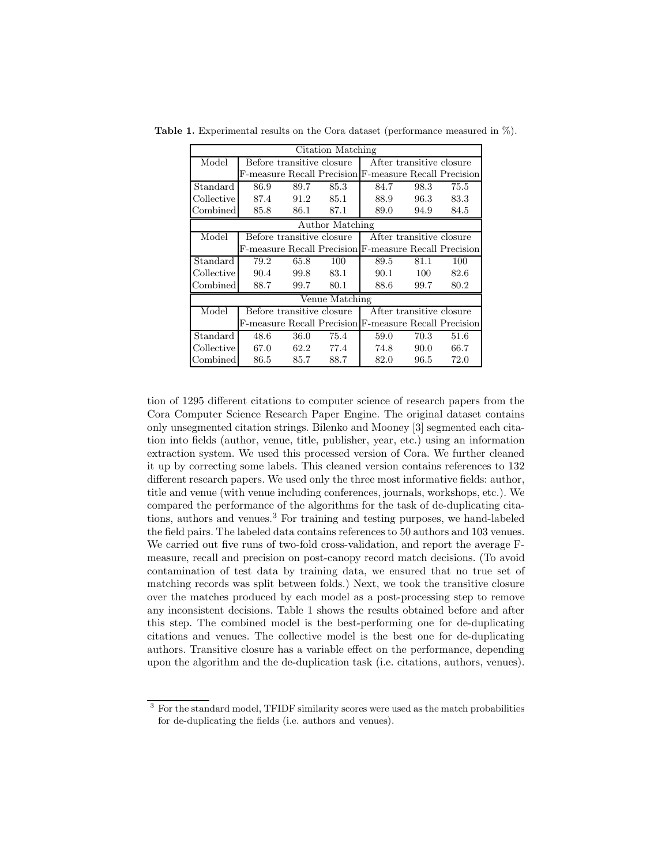| Citation Matching |      |      |                                                       |      |                          |      |  |
|-------------------|------|------|-------------------------------------------------------|------|--------------------------|------|--|
| Model             |      |      | Before transitive closure                             |      | After transitive closure |      |  |
|                   |      |      | F-measure Recall Precision F-measure Recall Precision |      |                          |      |  |
| Standard          | 86.9 | 89.7 | 85.3                                                  | 84.7 | 98.3                     | 75.5 |  |
| Collective        | 87.4 | 91.2 | 85.1                                                  | 88.9 | 96.3                     | 83.3 |  |
| Combined          | 85.8 | 86.1 | 87.1                                                  | 89.0 | 94.9                     | 84.5 |  |
| Author Matching   |      |      |                                                       |      |                          |      |  |
| Model             |      |      | Before transitive closure                             |      | After transitive closure |      |  |
|                   |      |      | F-measure Recall Precision F-measure Recall Precision |      |                          |      |  |
| Standard          | 79.2 | 65.8 | 100                                                   | 89.5 | 81.1                     | 100  |  |
| Collective        | 90.4 | 99.8 | 83.1                                                  | 90.1 | 100                      | 82.6 |  |
| Combined          | 88.7 | 99.7 | 80.1                                                  | 88.6 | 99.7                     | 80.2 |  |
| Venue Matching    |      |      |                                                       |      |                          |      |  |
| Model             |      |      | Before transitive closure                             |      | After transitive closure |      |  |
|                   |      |      | F-measure Recall Precision F-measure Recall Precision |      |                          |      |  |
| Standard          | 48.6 | 36.0 | 75.4                                                  | 59.0 | 70.3                     | 51.6 |  |
| Collective        | 67.0 | 62.2 | 77.4                                                  | 74.8 | 90.0                     | 66.7 |  |
| Combined          | 86.5 | 85.7 | 88.7                                                  | 82.0 | 96.5                     | 72.0 |  |

**Table 1.** Experimental results on the Cora dataset (performance measured in  $\%$ ).

tion of 1295 different citations to computer science of research papers from the Cora Computer Science Research Paper Engine. The original dataset contains only unsegmented citation strings. Bilenko and Mooney [3] segmented each citation into fields (author, venue, title, publisher, year, etc.) using an information extraction system. We used this processed version of Cora. We further cleaned it up by correcting some labels. This cleaned version contains references to 132 different research papers. We used only the three most informative fields: author, title and venue (with venue including conferences, journals, workshops, etc.). We compared the performance of the algorithms for the task of de-duplicating citations, authors and venues.<sup>3</sup> For training and testing purposes, we hand-labeled the field pairs. The labeled data contains references to 50 authors and 103 venues. We carried out five runs of two-fold cross-validation, and report the average Fmeasure, recall and precision on post-canopy record match decisions. (To avoid contamination of test data by training data, we ensured that no true set of matching records was split between folds.) Next, we took the transitive closure over the matches produced by each model as a post-processing step to remove any inconsistent decisions. Table 1 shows the results obtained before and after this step. The combined model is the best-performing one for de-duplicating citations and venues. The collective model is the best one for de-duplicating authors. Transitive closure has a variable effect on the performance, depending upon the algorithm and the de-duplication task (i.e. citations, authors, venues).

<sup>&</sup>lt;sup>3</sup> For the standard model, TFIDF similarity scores were used as the match probabilities for de-duplicating the fields (i.e. authors and venues).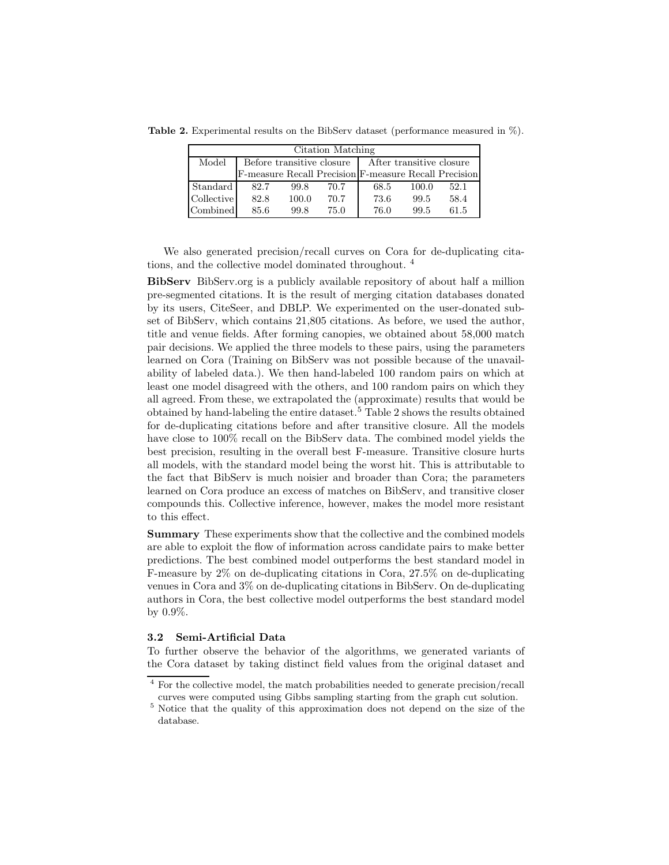**Table 2.** Experimental results on the BibServ dataset (performance measured in  $\%$ ).

| Citation Matching |                                                       |       |      |      |       |      |  |  |  |
|-------------------|-------------------------------------------------------|-------|------|------|-------|------|--|--|--|
| Model             | Before transitive closure   After transitive closure  |       |      |      |       |      |  |  |  |
|                   | F-measure Recall Precision F-measure Recall Precision |       |      |      |       |      |  |  |  |
| Standard          | 82.7                                                  | 99.8  | 70.7 | 68.5 | 100.0 | 52.1 |  |  |  |
| Collective        | 82.8                                                  | 100.0 | 70.7 | 73.6 | 99.5  | 58.4 |  |  |  |
| Combined          | 85.6                                                  | 99.8  | 75.0 | 76.0 | 99.5  | 61.5 |  |  |  |

We also generated precision/recall curves on Cora for de-duplicating citations, and the collective model dominated throughout. <sup>4</sup>

BibServ BibServ.org is a publicly available repository of about half a million pre-segmented citations. It is the result of merging citation databases donated by its users, CiteSeer, and DBLP. We experimented on the user-donated subset of BibServ, which contains 21,805 citations. As before, we used the author, title and venue fields. After forming canopies, we obtained about 58,000 match pair decisions. We applied the three models to these pairs, using the parameters learned on Cora (Training on BibServ was not possible because of the unavailability of labeled data.). We then hand-labeled 100 random pairs on which at least one model disagreed with the others, and 100 random pairs on which they all agreed. From these, we extrapolated the (approximate) results that would be obtained by hand-labeling the entire dataset.<sup>5</sup> Table 2 shows the results obtained for de-duplicating citations before and after transitive closure. All the models have close to 100% recall on the BibServ data. The combined model yields the best precision, resulting in the overall best F-measure. Transitive closure hurts all models, with the standard model being the worst hit. This is attributable to the fact that BibServ is much noisier and broader than Cora; the parameters learned on Cora produce an excess of matches on BibServ, and transitive closer compounds this. Collective inference, however, makes the model more resistant to this effect.

Summary These experiments show that the collective and the combined models are able to exploit the flow of information across candidate pairs to make better predictions. The best combined model outperforms the best standard model in F-measure by 2% on de-duplicating citations in Cora, 27.5% on de-duplicating venues in Cora and 3% on de-duplicating citations in BibServ. On de-duplicating authors in Cora, the best collective model outperforms the best standard model by 0.9%.

#### 3.2 Semi-Artificial Data

To further observe the behavior of the algorithms, we generated variants of the Cora dataset by taking distinct field values from the original dataset and

<sup>&</sup>lt;sup>4</sup> For the collective model, the match probabilities needed to generate precision/recall curves were computed using Gibbs sampling starting from the graph cut solution.

<sup>5</sup> Notice that the quality of this approximation does not depend on the size of the database.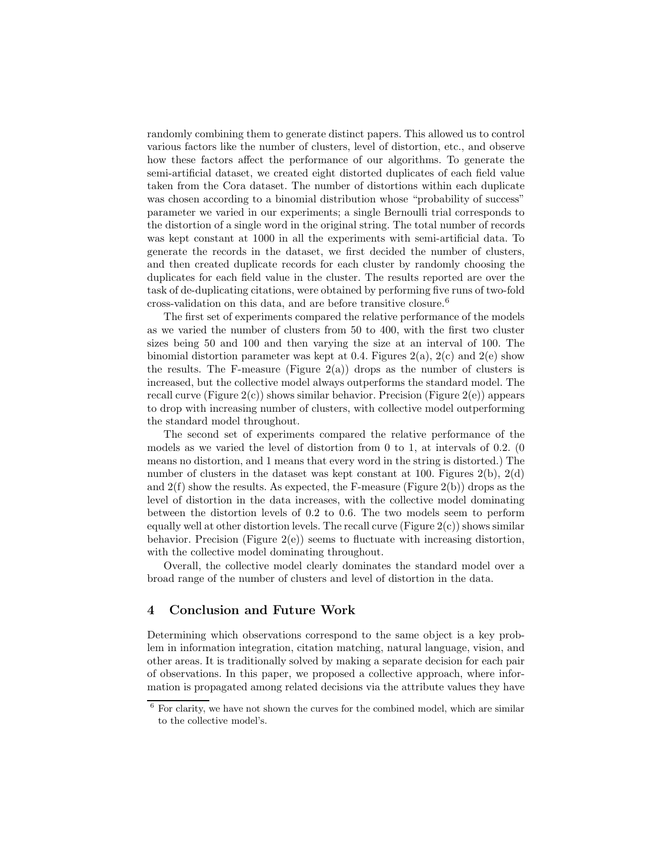randomly combining them to generate distinct papers. This allowed us to control various factors like the number of clusters, level of distortion, etc., and observe how these factors affect the performance of our algorithms. To generate the semi-artificial dataset, we created eight distorted duplicates of each field value taken from the Cora dataset. The number of distortions within each duplicate was chosen according to a binomial distribution whose "probability of success" parameter we varied in our experiments; a single Bernoulli trial corresponds to the distortion of a single word in the original string. The total number of records was kept constant at 1000 in all the experiments with semi-artificial data. To generate the records in the dataset, we first decided the number of clusters, and then created duplicate records for each cluster by randomly choosing the duplicates for each field value in the cluster. The results reported are over the task of de-duplicating citations, were obtained by performing five runs of two-fold cross-validation on this data, and are before transitive closure.<sup>6</sup>

The first set of experiments compared the relative performance of the models as we varied the number of clusters from 50 to 400, with the first two cluster sizes being 50 and 100 and then varying the size at an interval of 100. The binomial distortion parameter was kept at 0.4. Figures  $2(a)$ ,  $2(c)$  and  $2(e)$  show the results. The F-measure (Figure  $2(a)$ ) drops as the number of clusters is increased, but the collective model always outperforms the standard model. The recall curve (Figure  $2(c)$ ) shows similar behavior. Precision (Figure  $2(e)$ ) appears to drop with increasing number of clusters, with collective model outperforming the standard model throughout.

The second set of experiments compared the relative performance of the models as we varied the level of distortion from 0 to 1, at intervals of 0.2. (0 means no distortion, and 1 means that every word in the string is distorted.) The number of clusters in the dataset was kept constant at 100. Figures 2(b), 2(d) and  $2(f)$  show the results. As expected, the F-measure (Figure  $2(b)$ ) drops as the level of distortion in the data increases, with the collective model dominating between the distortion levels of 0.2 to 0.6. The two models seem to perform equally well at other distortion levels. The recall curve (Figure  $2(c)$ ) shows similar behavior. Precision (Figure  $2(e)$ ) seems to fluctuate with increasing distortion, with the collective model dominating throughout.

Overall, the collective model clearly dominates the standard model over a broad range of the number of clusters and level of distortion in the data.

# 4 Conclusion and Future Work

Determining which observations correspond to the same object is a key problem in information integration, citation matching, natural language, vision, and other areas. It is traditionally solved by making a separate decision for each pair of observations. In this paper, we proposed a collective approach, where information is propagated among related decisions via the attribute values they have

 $6$  For clarity, we have not shown the curves for the combined model, which are similar to the collective model's.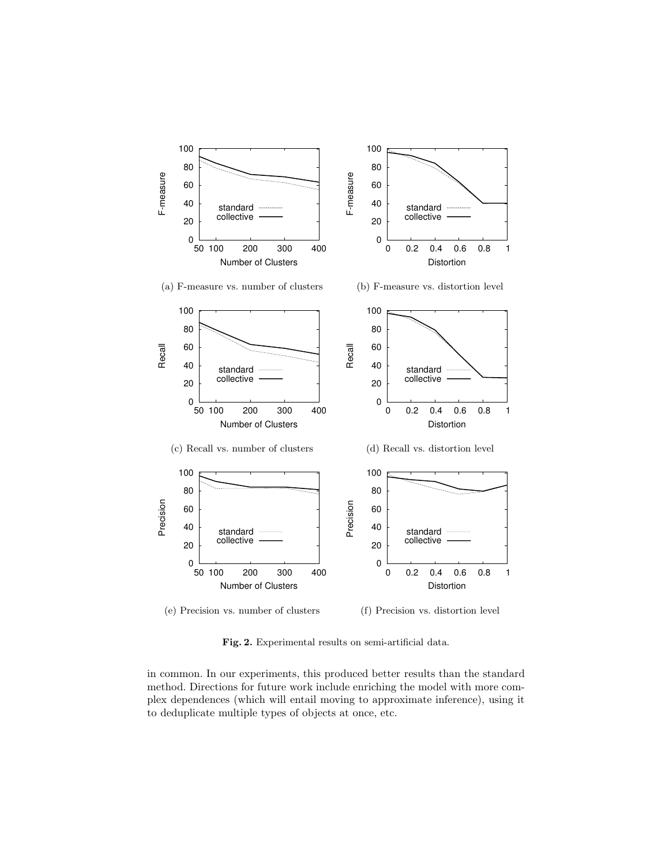

Fig. 2. Experimental results on semi-artificial data.

in common. In our experiments, this produced better results than the standard method. Directions for future work include enriching the model with more complex dependences (which will entail moving to approximate inference), using it to deduplicate multiple types of objects at once, etc.